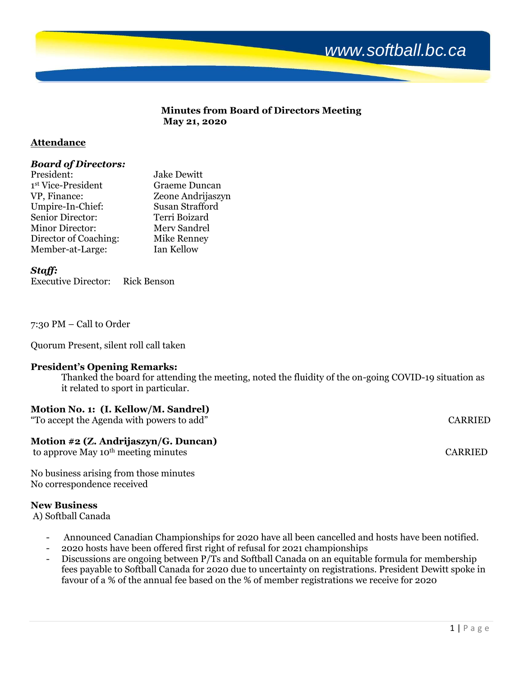

#### **Minutes from Board of Directors Meeting May 21, 2020**

### **Attendance**

### *Board of Directors:*

| President:             | <b>Jake Dewitt</b> |
|------------------------|--------------------|
| 1st Vice-President     | Graeme Duncan      |
| VP, Finance:           | Zeone Andrijaszyn  |
| Umpire-In-Chief:       | Susan Strafford    |
| Senior Director:       | Terri Boizard      |
| <b>Minor Director:</b> | Merv Sandrel       |
| Director of Coaching:  | <b>Mike Renney</b> |
| Member-at-Large:       | Ian Kellow         |

*Staff:*

Executive Director: Rick Benson

7:30 PM – Call to Order

Quorum Present, silent roll call taken

### **President's Opening Remarks:**

Thanked the board for attending the meeting, noted the fluidity of the on-going COVID-19 situation as it related to sport in particular.

# **Motion No. 1: (I. Kellow/M. Sandrel)**

"To accept the Agenda with powers to add" CARRIED

# **Motion #2 (Z. Andrijaszyn/G. Duncan)**

to approve May 10<sup>th</sup> meeting minutes CARRIED

No business arising from those minutes No correspondence received

### **New Business**

A) Softball Canada

- Announced Canadian Championships for 2020 have all been cancelled and hosts have been notified.
- 2020 hosts have been offered first right of refusal for 2021 championships
- Discussions are ongoing between P/Ts and Softball Canada on an equitable formula for membership fees payable to Softball Canada for 2020 due to uncertainty on registrations. President Dewitt spoke in favour of a % of the annual fee based on the % of member registrations we receive for 2020